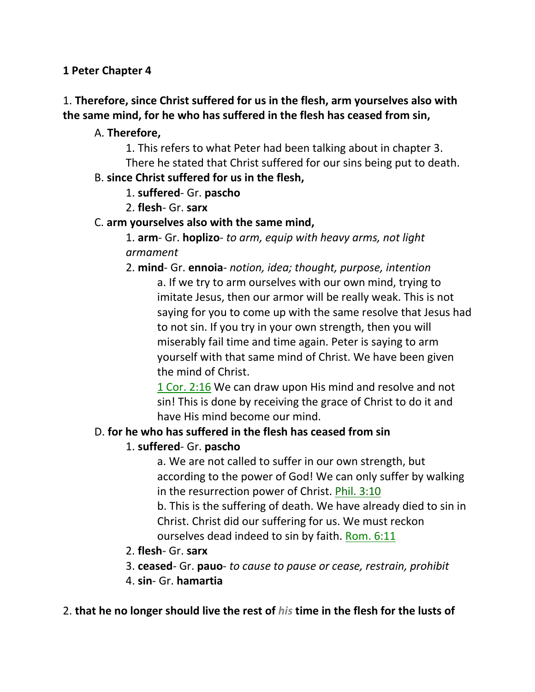### **1 Peter Chapter 4**

## 1. **Therefore, since Christ suffered for us in the flesh, arm yourselves also with the same mind, for he who has suffered in the flesh has ceased from sin,**

### A. **Therefore,**

1. This refers to what Peter had been talking about in chapter 3. There he stated that Christ suffered for our sins being put to death.

### B. **since Christ suffered for us in the flesh,**

- 1. **suffered** Gr. **pascho**
- 2. **flesh** Gr. **sarx**

### C. **arm yourselves also with the same mind,**

1. **arm**- Gr. **hoplizo**- *to arm, equip with heavy arms, not light armament*

2. **mind**- Gr. **ennoia**- *notion, idea; thought, purpose, intention*

a. If we try to arm ourselves with our own mind, trying to imitate Jesus, then our armor will be really weak. This is not saying for you to come up with the same resolve that Jesus had to not sin. If you try in your own strength, then you will miserably fail time and time again. Peter is saying to arm yourself with that same mind of Christ. We have been given the mind of Christ.

1 Cor. 2:16 We can draw upon His mind and resolve and not sin! This is done by receiving the grace of Christ to do it and have His mind become our mind.

### D. **for he who has suffered in the flesh has ceased from sin**

## 1. **suffered**- Gr. **pascho**

a. We are not called to suffer in our own strength, but according to the power of God! We can only suffer by walking in the resurrection power of Christ. Phil. 3:10

b. This is the suffering of death. We have already died to sin in Christ. Christ did our suffering for us. We must reckon ourselves dead indeed to sin by faith. Rom. 6:11

### 2. **flesh**- Gr. **sarx**

- 3. **ceased** Gr. **pauo** *to cause to pause or cease, restrain, prohibit*
- 4. **sin** Gr. **hamartia**

### 2. **that he no longer should live the rest of** *his* **time in the flesh for the lusts of**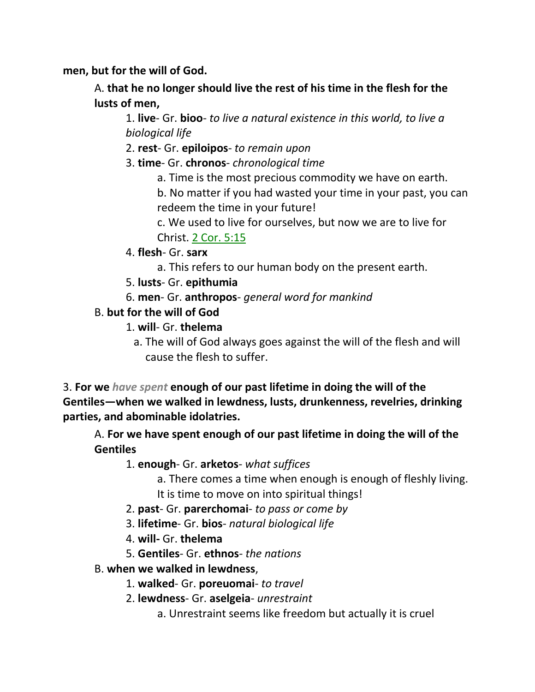**men, but for the will of God.** 

A. **that he no longer should live the rest of his time in the flesh for the lusts of men,**

1. **live**- Gr. **bioo**- *to live a natural existence in this world, to live a biological life*

2. **rest**- Gr. **epiloipos**- *to remain upon*

- 3. **time** Gr. **chronos** *chronological time*
	- a. Time is the most precious commodity we have on earth.

b. No matter if you had wasted your time in your past, you can redeem the time in your future!

c. We used to live for ourselves, but now we are to live for Christ. 2 Cor. 5:15

- 4. **flesh** Gr. **sarx**
	- a. This refers to our human body on the present earth.
- 5. **lusts** Gr. **epithumia**
- 6. **men** Gr. **anthropos** *general word for mankind*

### B. **but for the will of God**

- 1. **will** Gr. **thelema**
	- a. The will of God always goes against the will of the flesh and will cause the flesh to suffer.

3. **For we** *have spent* **enough of our past lifetime in doing the will of the Gentiles—when we walked in lewdness, lusts, drunkenness, revelries, drinking parties, and abominable idolatries.**

A. **For we have spent enough of our past lifetime in doing the will of the Gentiles**

1. **enough**- Gr. **arketos**- *what suffices*

a. There comes a time when enough is enough of fleshly living. It is time to move on into spiritual things!

- 2. **past** Gr. **parerchomai** *to pass or come by*
- 3. **lifetime** Gr. **bios** *natural biological life*
- 4. **will-** Gr. **thelema**
- 5. **Gentiles** Gr. **ethnos** *the nations*
- B. **when we walked in lewdness**,
	- 1. **walked** Gr. **poreuomai** *to travel*
	- 2. **lewdness** Gr. **aselgeia** *unrestraint*
		- a. Unrestraint seems like freedom but actually it is cruel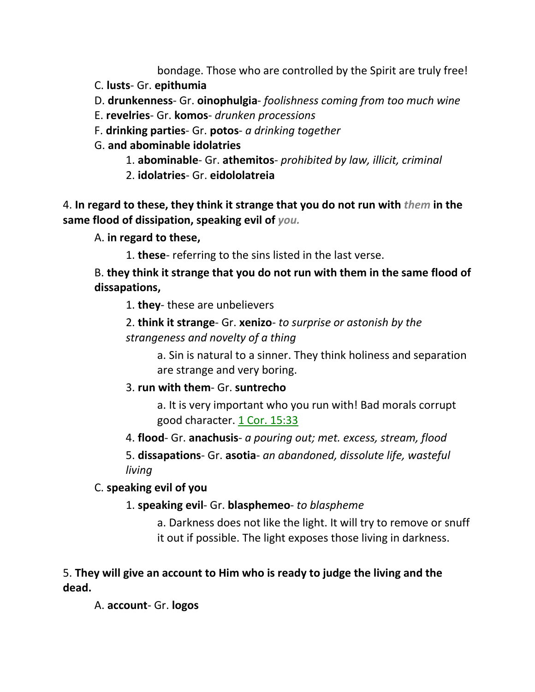bondage. Those who are controlled by the Spirit are truly free!

- C. **lusts** Gr. **epithumia**
- D. **drunkenness** Gr. **oinophulgia** *foolishness coming from too much wine*
- E. **revelries** Gr. **komos** *drunken processions*
- F. **drinking parties** Gr. **potos** *a drinking together*
- G. **and abominable idolatries**
	- 1. **abominable** Gr. **athemitos** *prohibited by law, illicit, criminal*
	- 2. **idolatries** Gr. **eidololatreia**

4. **In regard to these, they think it strange that you do not run with** *them* **in the same flood of dissipation, speaking evil of** *you.*

- A. **in regard to these,**
	- 1. **these** referring to the sins listed in the last verse.

## B. **they think it strange that you do not run with them in the same flood of dissapations,**

1. **they**- these are unbelievers

2. **think it strange**- Gr. **xenizo**- *to surprise or astonish by the strangeness and novelty of a thing*

> a. Sin is natural to a sinner. They think holiness and separation are strange and very boring.

### 3. **run with them**- Gr. **suntrecho**

a. It is very important who you run with! Bad morals corrupt good character. 1 Cor. 15:33

4. **flood**- Gr. **anachusis**- *a pouring out; met. excess, stream, flood*

5. **dissapations**- Gr. **asotia**- *an abandoned, dissolute life, wasteful living*

C. **speaking evil of you**

### 1. **speaking evil**- Gr. **blasphemeo**- *to blaspheme*

a. Darkness does not like the light. It will try to remove or snuff it out if possible. The light exposes those living in darkness.

## 5. **They will give an account to Him who is ready to judge the living and the dead.**

A. **account**- Gr. **logos**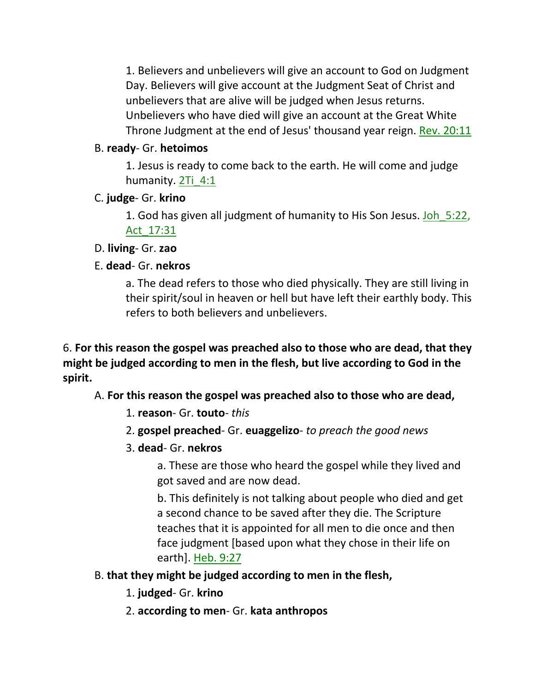1. Believers and unbelievers will give an account to God on Judgment Day. Believers will give account at the Judgment Seat of Christ and unbelievers that are alive will be judged when Jesus returns. Unbelievers who have died will give an account at the Great White Throne Judgment at the end of Jesus' thousand year reign. Rev. 20:11

## B. **ready**- Gr. **hetoimos**

1. Jesus is ready to come back to the earth. He will come and judge humanity. 2Ti 4:1

## C. **judge**- Gr. **krino**

1. God has given all judgment of humanity to His Son Jesus. Joh\_5:22, Act\_17:31

## D. **living**- Gr. **zao**

# E. **dead**- Gr. **nekros**

a. The dead refers to those who died physically. They are still living in their spirit/soul in heaven or hell but have left their earthly body. This refers to both believers and unbelievers.

6. **For this reason the gospel was preached also to those who are dead, that they might be judged according to men in the flesh, but live according to God in the spirit.**

A. **For this reason the gospel was preached also to those who are dead,**

- 1. **reason** Gr. **touto** *this*
- 2. **gospel preached** Gr. **euaggelizo** *to preach the good news*
- 3. **dead** Gr. **nekros**

a. These are those who heard the gospel while they lived and got saved and are now dead.

b. This definitely is not talking about people who died and get a second chance to be saved after they die. The Scripture teaches that it is appointed for all men to die once and then face judgment [based upon what they chose in their life on earth]. Heb. 9:27

# B. **that they might be judged according to men in the flesh,**

- 1. **judged** Gr. **krino**
- 2. **according to men** Gr. **kata anthropos**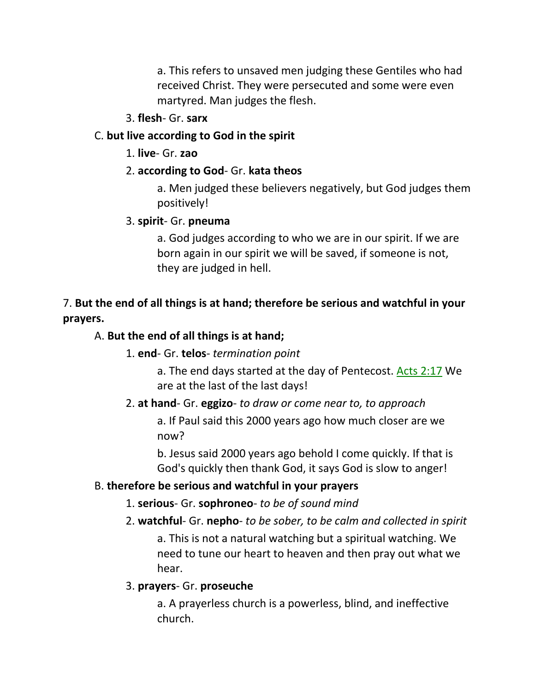a. This refers to unsaved men judging these Gentiles who had received Christ. They were persecuted and some were even martyred. Man judges the flesh.

### 3. **flesh**- Gr. **sarx**

### C. **but live according to God in the spirit**

1. **live**- Gr. **zao**

## 2. **according to God**- Gr. **kata theos**

a. Men judged these believers negatively, but God judges them positively!

### 3. **spirit**- Gr. **pneuma**

a. God judges according to who we are in our spirit. If we are born again in our spirit we will be saved, if someone is not, they are judged in hell.

## 7. **But the end of all things is at hand; therefore be serious and watchful in your prayers.**

## A. **But the end of all things is at hand;**

## 1. **end**- Gr. **telos**- *termination point*

a. The end days started at the day of Pentecost. Acts 2:17 We are at the last of the last days!

## 2. **at hand**- Gr. **eggizo**- *to draw or come near to, to approach*

a. If Paul said this 2000 years ago how much closer are we now?

b. Jesus said 2000 years ago behold I come quickly. If that is God's quickly then thank God, it says God is slow to anger!

## B. **therefore be serious and watchful in your prayers**

## 1. **serious**- Gr. **sophroneo**- *to be of sound mind*

## 2. **watchful**- Gr. **nepho**- *to be sober, to be calm and collected in spirit*

a. This is not a natural watching but a spiritual watching. We need to tune our heart to heaven and then pray out what we hear.

## 3. **prayers**- Gr. **proseuche**

a. A prayerless church is a powerless, blind, and ineffective church.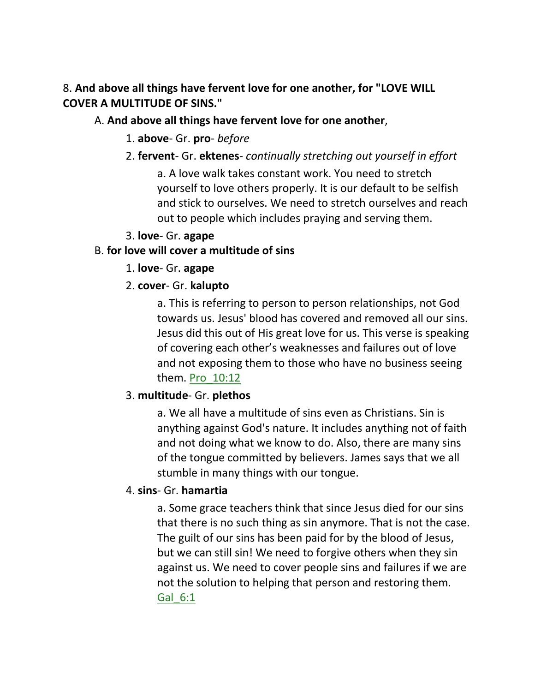8. **And above all things have fervent love for one another, for "LOVE WILL COVER A MULTITUDE OF SINS."** 

### A. **And above all things have fervent love for one another**,

- 1. **above** Gr. **pro** *before*
- 2. **fervent** Gr. **ektenes** *continually stretching out yourself in effort*

a. A love walk takes constant work. You need to stretch yourself to love others properly. It is our default to be selfish and stick to ourselves. We need to stretch ourselves and reach out to people which includes praying and serving them.

3. **love**- Gr. **agape**

## B. **for love will cover a multitude of sins**

- 1. **love** Gr. **agape**
- 2. **cover** Gr. **kalupto**

a. This is referring to person to person relationships, not God towards us. Jesus' blood has covered and removed all our sins. Jesus did this out of His great love for us. This verse is speaking of covering each other's weaknesses and failures out of love and not exposing them to those who have no business seeing them. Pro 10:12

## 3. **multitude**- Gr. **plethos**

a. We all have a multitude of sins even as Christians. Sin is anything against God's nature. It includes anything not of faith and not doing what we know to do. Also, there are many sins of the tongue committed by believers. James says that we all stumble in many things with our tongue.

## 4. **sins**- Gr. **hamartia**

a. Some grace teachers think that since Jesus died for our sins that there is no such thing as sin anymore. That is not the case. The guilt of our sins has been paid for by the blood of Jesus, but we can still sin! We need to forgive others when they sin against us. We need to cover people sins and failures if we are not the solution to helping that person and restoring them. Gal\_6:1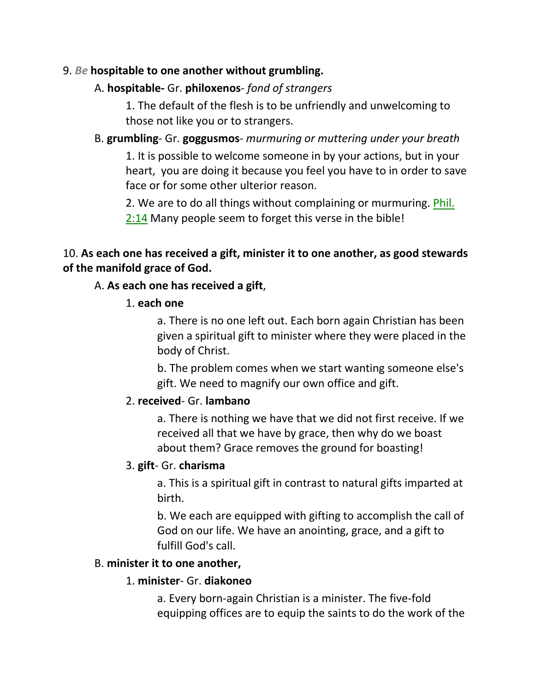### 9. *Be* **hospitable to one another without grumbling.**

### A. **hospitable-** Gr. **philoxenos**- *fond of strangers*

1. The default of the flesh is to be unfriendly and unwelcoming to those not like you or to strangers.

### B. **grumbling**- Gr. **goggusmos**- *murmuring or muttering under your breath*

1. It is possible to welcome someone in by your actions, but in your heart, you are doing it because you feel you have to in order to save face or for some other ulterior reason.

2. We are to do all things without complaining or murmuring. Phil. 2:14 Many people seem to forget this verse in the bible!

## 10. **As each one has received a gift, minister it to one another, as good stewards of the manifold grace of God.**

### A. **As each one has received a gift**,

#### 1. **each one**

a. There is no one left out. Each born again Christian has been given a spiritual gift to minister where they were placed in the body of Christ.

b. The problem comes when we start wanting someone else's gift. We need to magnify our own office and gift.

### 2. **received**- Gr. **lambano**

a. There is nothing we have that we did not first receive. If we received all that we have by grace, then why do we boast about them? Grace removes the ground for boasting!

### 3. **gift**- Gr. **charisma**

a. This is a spiritual gift in contrast to natural gifts imparted at birth.

b. We each are equipped with gifting to accomplish the call of God on our life. We have an anointing, grace, and a gift to fulfill God's call.

#### B. **minister it to one another,**

#### 1. **minister**- Gr. **diakoneo**

a. Every born-again Christian is a minister. The five-fold equipping offices are to equip the saints to do the work of the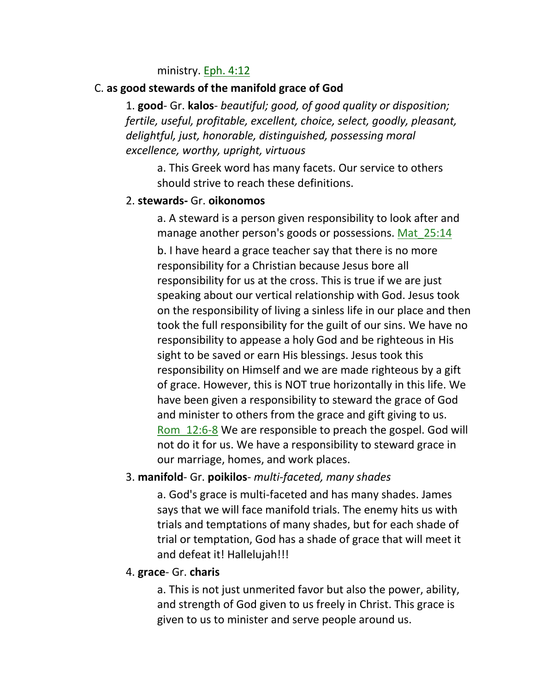#### ministry. Eph. 4:12

#### C. **as good stewards of the manifold grace of God**

1. **good**- Gr. **kalos**- *beautiful; good, of good quality or disposition; fertile, useful, profitable, excellent, choice, select, goodly, pleasant, delightful, just, honorable, distinguished, possessing moral excellence, worthy, upright, virtuous* 

a. This Greek word has many facets. Our service to others should strive to reach these definitions.

#### 2. **stewards-** Gr. **oikonomos**

a. A steward is a person given responsibility to look after and manage another person's goods or possessions. Mat 25:14 b. I have heard a grace teacher say that there is no more responsibility for a Christian because Jesus bore all responsibility for us at the cross. This is true if we are just speaking about our vertical relationship with God. Jesus took on the responsibility of living a sinless life in our place and then took the full responsibility for the guilt of our sins. We have no responsibility to appease a holy God and be righteous in His sight to be saved or earn His blessings. Jesus took this responsibility on Himself and we are made righteous by a gift of grace. However, this is NOT true horizontally in this life. We have been given a responsibility to steward the grace of God and minister to others from the grace and gift giving to us. Rom\_12:6-8 We are responsible to preach the gospel. God will not do it for us. We have a responsibility to steward grace in our marriage, homes, and work places.

### 3. **manifold**- Gr. **poikilos**- *multi-faceted, many shades*

a. God's grace is multi-faceted and has many shades. James says that we will face manifold trials. The enemy hits us with trials and temptations of many shades, but for each shade of trial or temptation, God has a shade of grace that will meet it and defeat it! Hallelujah!!!

#### 4. **grace**- Gr. **charis**

a. This is not just unmerited favor but also the power, ability, and strength of God given to us freely in Christ. This grace is given to us to minister and serve people around us.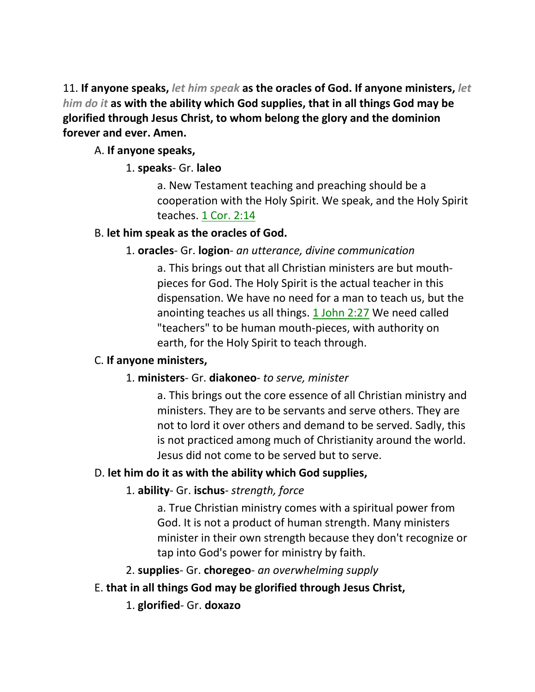11. **If anyone speaks,** *let him speak* **as the oracles of God. If anyone ministers,** *let him do it* **as with the ability which God supplies, that in all things God may be glorified through Jesus Christ, to whom belong the glory and the dominion forever and ever. Amen.** 

## A. **If anyone speaks,**

## 1. **speaks**- Gr. **laleo**

a. New Testament teaching and preaching should be a cooperation with the Holy Spirit. We speak, and the Holy Spirit teaches. 1 Cor. 2:14

## B. **let him speak as the oracles of God.**

## 1. **oracles**- Gr. **logion**- *an utterance, divine communication*

a. This brings out that all Christian ministers are but mouthpieces for God. The Holy Spirit is the actual teacher in this dispensation. We have no need for a man to teach us, but the anointing teaches us all things. 1 John 2:27 We need called "teachers" to be human mouth-pieces, with authority on earth, for the Holy Spirit to teach through.

## C. **If anyone ministers,**

## 1. **ministers**- Gr. **diakoneo**- *to serve, minister*

a. This brings out the core essence of all Christian ministry and ministers. They are to be servants and serve others. They are not to lord it over others and demand to be served. Sadly, this is not practiced among much of Christianity around the world. Jesus did not come to be served but to serve.

# D. **let him do it as with the ability which God supplies,**

# 1. **ability**- Gr. **ischus**- *strength, force*

a. True Christian ministry comes with a spiritual power from God. It is not a product of human strength. Many ministers minister in their own strength because they don't recognize or tap into God's power for ministry by faith.

2. **supplies**- Gr. **choregeo**- *an overwhelming supply*

## E. **that in all things God may be glorified through Jesus Christ,**

1. **glorified**- Gr. **doxazo**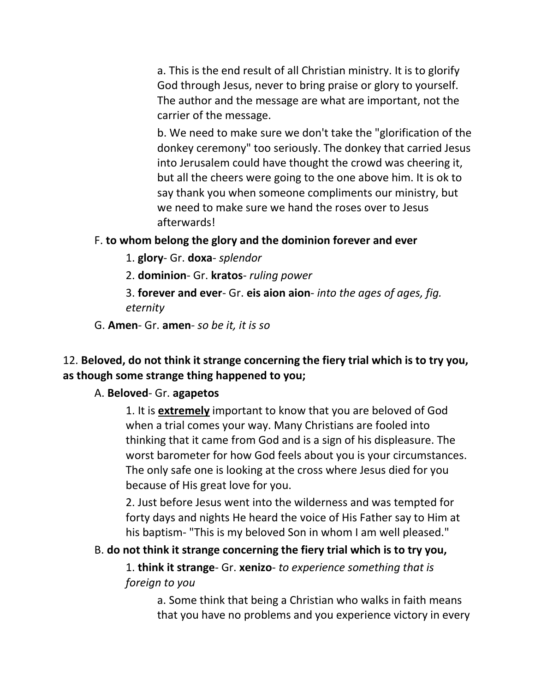a. This is the end result of all Christian ministry. It is to glorify God through Jesus, never to bring praise or glory to yourself. The author and the message are what are important, not the carrier of the message.

b. We need to make sure we don't take the "glorification of the donkey ceremony" too seriously. The donkey that carried Jesus into Jerusalem could have thought the crowd was cheering it, but all the cheers were going to the one above him. It is ok to say thank you when someone compliments our ministry, but we need to make sure we hand the roses over to Jesus afterwards!

### F. **to whom belong the glory and the dominion forever and ever**

- 1. **glory** Gr. **doxa** *splendor*
- 2. **dominion** Gr. **kratos** *ruling power*

3. **forever and ever**- Gr. **eis aion aion**- *into the ages of ages, fig. eternity*

G. **Amen**- Gr. **amen**- *so be it, it is so*

## 12. **Beloved, do not think it strange concerning the fiery trial which is to try you, as though some strange thing happened to you;**

#### A. **Beloved**- Gr. **agapetos**

1. It is **extremely** important to know that you are beloved of God when a trial comes your way. Many Christians are fooled into thinking that it came from God and is a sign of his displeasure. The worst barometer for how God feels about you is your circumstances. The only safe one is looking at the cross where Jesus died for you because of His great love for you.

2. Just before Jesus went into the wilderness and was tempted for forty days and nights He heard the voice of His Father say to Him at his baptism- "This is my beloved Son in whom I am well pleased."

### B. **do not think it strange concerning the fiery trial which is to try you,**

1. **think it strange**- Gr. **xenizo**- *to experience something that is foreign to you*

a. Some think that being a Christian who walks in faith means that you have no problems and you experience victory in every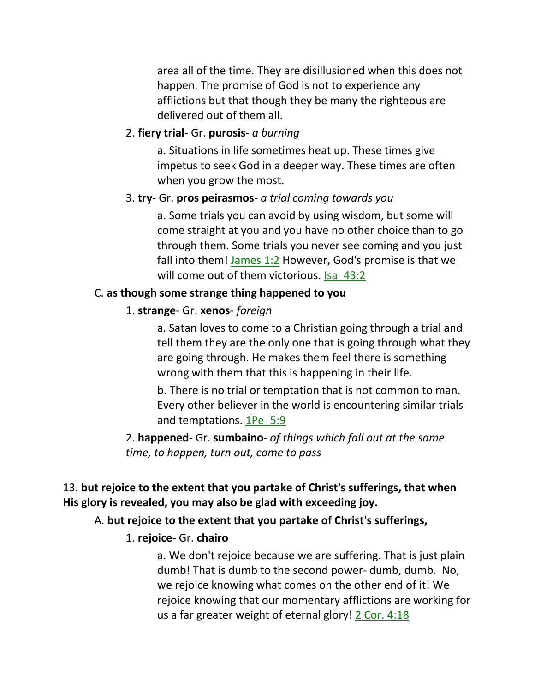area all of the time. They are disillusioned when this does not happen. The promise of God is not to experience any afflictions but that though they be many the righteous are delivered out of them all.

### 2. **fiery trial**- Gr. **purosis**- *a burning*

a. Situations in life sometimes heat up. These times give impetus to seek God in a deeper way. These times are often when you grow the most.

### 3. **try**- Gr. **pros peirasmos**- *a trial coming towards you*

a. Some trials you can avoid by using wisdom, but some will come straight at you and you have no other choice than to go through them. Some trials you never see coming and you just fall into them! James 1:2 However, God's promise is that we will come out of them victorious. Isa\_43:2

### C. **as though some strange thing happened to you**

### 1. **strange**- Gr. **xenos**- *foreign*

a. Satan loves to come to a Christian going through a trial and tell them they are the only one that is going through what they are going through. He makes them feel there is something wrong with them that this is happening in their life.

b. There is no trial or temptation that is not common to man. Every other believer in the world is encountering similar trials and temptations. 1Pe\_5:9

2. **happened**- Gr. **sumbaino**- *of things which fall out at the same time, to happen, turn out, come to pass*

## 13. **but rejoice to the extent that you partake of Christ's sufferings, that when His glory is revealed, you may also be glad with exceeding joy.**

### A. **but rejoice to the extent that you partake of Christ's sufferings,**

## 1. **rejoice**- Gr. **chairo**

a. We don't rejoice because we are suffering. That is just plain dumb! That is dumb to the second power- dumb, dumb. No, we rejoice knowing what comes on the other end of it! We rejoice knowing that our momentary afflictions are working for us a far greater weight of eternal glory! 2 Cor. 4:18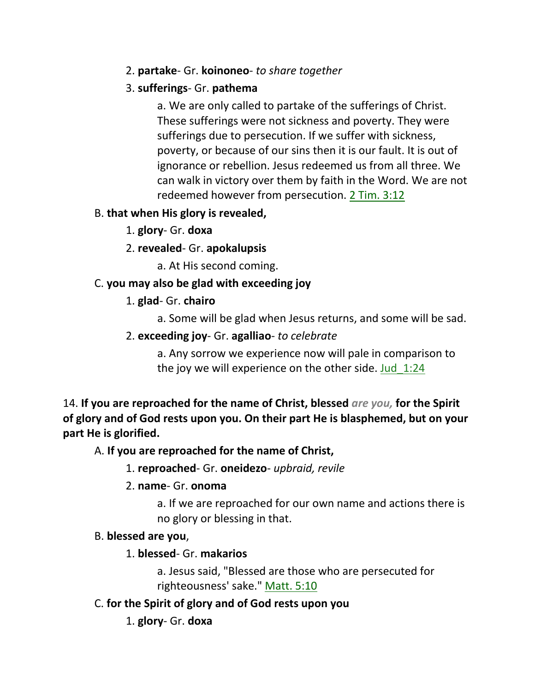### 2. **partake**- Gr. **koinoneo**- *to share together*

## 3. **sufferings**- Gr. **pathema**

a. We are only called to partake of the sufferings of Christ. These sufferings were not sickness and poverty. They were sufferings due to persecution. If we suffer with sickness, poverty, or because of our sins then it is our fault. It is out of ignorance or rebellion. Jesus redeemed us from all three. We can walk in victory over them by faith in the Word. We are not redeemed however from persecution. 2 Tim. 3:12

## B. **that when His glory is revealed,**

- 1. **glory** Gr. **doxa**
- 2. **revealed** Gr. **apokalupsis**
	- a. At His second coming.

# C. **you may also be glad with exceeding joy**

# 1. **glad**- Gr. **chairo**

a. Some will be glad when Jesus returns, and some will be sad.

2. **exceeding joy**- Gr. **agalliao**- *to celebrate*

a. Any sorrow we experience now will pale in comparison to the joy we will experience on the other side. Jud\_1:24

14. **If you are reproached for the name of Christ, blessed** *are you,* **for the Spirit of glory and of God rests upon you. On their part He is blasphemed, but on your part He is glorified.** 

# A. **If you are reproached for the name of Christ,**

1. **reproached**- Gr. **oneidezo**- *upbraid, revile*

2. **name**- Gr. **onoma**

a. If we are reproached for our own name and actions there is no glory or blessing in that.

## B. **blessed are you**,

## 1. **blessed**- Gr. **makarios**

a. Jesus said, "Blessed are those who are persecuted for righteousness' sake." Matt. 5:10

C. **for the Spirit of glory and of God rests upon you**

# 1. **glory**- Gr. **doxa**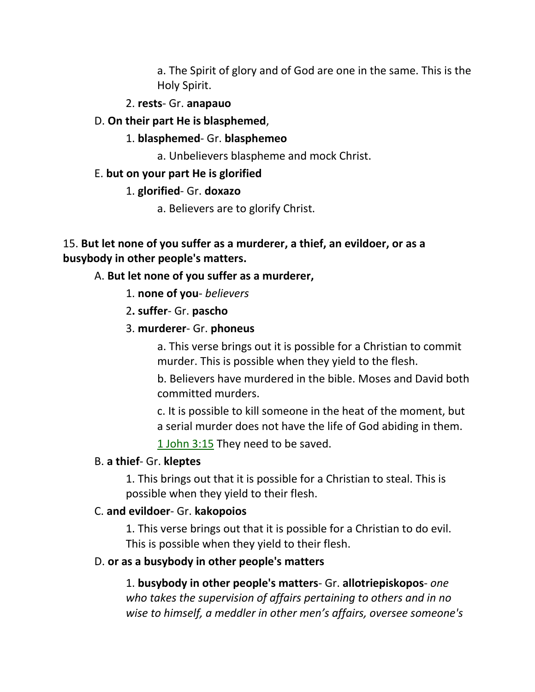a. The Spirit of glory and of God are one in the same. This is the Holy Spirit.

#### 2. **rests**- Gr. **anapauo**

- D. **On their part He is blasphemed**,
	- 1. **blasphemed** Gr. **blasphemeo**

a. Unbelievers blaspheme and mock Christ.

#### E. **but on your part He is glorified**

#### 1. **glorified**- Gr. **doxazo**

a. Believers are to glorify Christ.

### 15. **But let none of you suffer as a murderer, a thief, an evildoer, or as a busybody in other people's matters.**

#### A. **But let none of you suffer as a murderer,**

- 1. **none of you** *believers*
- 2**. suffer** Gr. **pascho**
- 3. **murderer** Gr. **phoneus**

a. This verse brings out it is possible for a Christian to commit murder. This is possible when they yield to the flesh.

b. Believers have murdered in the bible. Moses and David both committed murders.

c. It is possible to kill someone in the heat of the moment, but a serial murder does not have the life of God abiding in them.

1 John 3:15 They need to be saved.

#### B. **a thief**- Gr. **kleptes**

1. This brings out that it is possible for a Christian to steal. This is possible when they yield to their flesh.

## C. **and evildoer**- Gr. **kakopoios**

1. This verse brings out that it is possible for a Christian to do evil. This is possible when they yield to their flesh.

#### D. **or as a busybody in other people's matters**

1. **busybody in other people's matters**- Gr. **allotriepiskopos**- *one who takes the supervision of affairs pertaining to others and in no wise to himself, a meddler in other men's affairs, oversee someone's*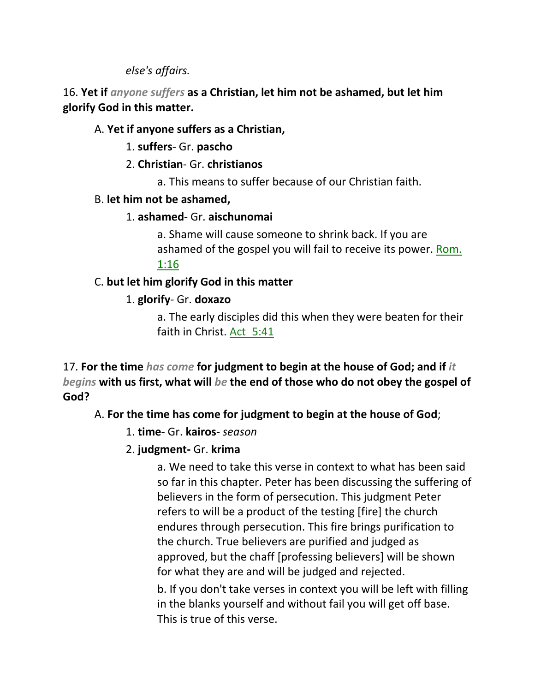*else's affairs.*

16. **Yet if** *anyone suffers* **as a Christian, let him not be ashamed, but let him glorify God in this matter.**

### A. **Yet if anyone suffers as a Christian,**

1. **suffers**- Gr. **pascho**

- 2. **Christian** Gr. **christianos**
	- a. This means to suffer because of our Christian faith.

### B. **let him not be ashamed,**

### 1. **ashamed**- Gr. **aischunomai**

a. Shame will cause someone to shrink back. If you are ashamed of the gospel you will fail to receive its power. Rom. 1:16

## C. **but let him glorify God in this matter**

## 1. **glorify**- Gr. **doxazo**

a. The early disciples did this when they were beaten for their faith in Christ. Act\_5:41

17. **For the time** *has come* **for judgment to begin at the house of God; and if** *it begins* **with us first, what will** *be* **the end of those who do not obey the gospel of God?** 

## A. **For the time has come for judgment to begin at the house of God**;

- 1. **time** Gr. **kairos** *season*
- 2. **judgment-** Gr. **krima**

a. We need to take this verse in context to what has been said so far in this chapter. Peter has been discussing the suffering of believers in the form of persecution. This judgment Peter refers to will be a product of the testing [fire] the church endures through persecution. This fire brings purification to the church. True believers are purified and judged as approved, but the chaff [professing believers] will be shown for what they are and will be judged and rejected.

b. If you don't take verses in context you will be left with filling in the blanks yourself and without fail you will get off base. This is true of this verse.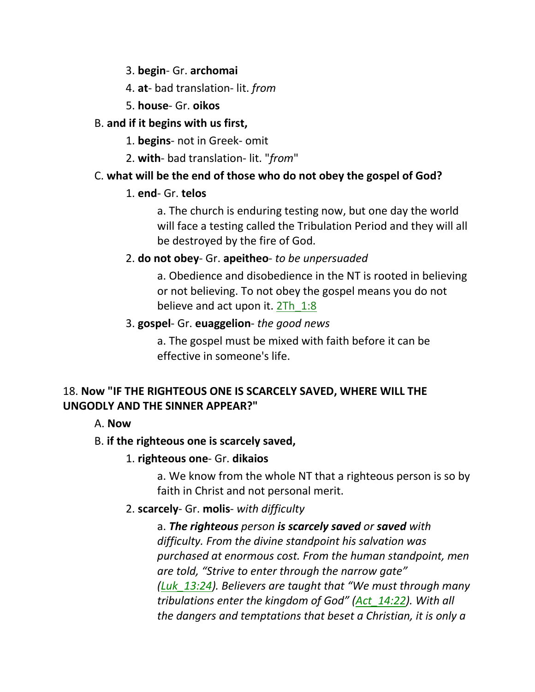3. **begin**- Gr. **archomai**

- 4. **at** bad translation- lit. *from*
- 5. **house** Gr. **oikos**

## B. **and if it begins with us first,**

1. **begins**- not in Greek- omit

2. **with**- bad translation- lit. "*from*"

# C. **what will be the end of those who do not obey the gospel of God?**

## 1. **end**- Gr. **telos**

a. The church is enduring testing now, but one day the world will face a testing called the Tribulation Period and they will all be destroyed by the fire of God.

# 2. **do not obey**- Gr. **apeitheo**- *to be unpersuaded*

a. Obedience and disobedience in the NT is rooted in believing or not believing. To not obey the gospel means you do not believe and act upon it. 2Th 1:8

# 3. **gospel**- Gr. **euaggelion**- *the good news*

a. The gospel must be mixed with faith before it can be effective in someone's life.

## 18. **Now "IF THE RIGHTEOUS ONE IS SCARCELY SAVED, WHERE WILL THE UNGODLY AND THE SINNER APPEAR?"**

# A. **Now**

# B. **if the righteous one is scarcely saved,**

# 1. **righteous one**- Gr. **dikaios**

a. We know from the whole NT that a righteous person is so by faith in Christ and not personal merit.

# 2. **scarcely**- Gr. **molis**- *with difficulty*

a. *The righteous person is scarcely saved or saved with difficulty. From the divine standpoint his salvation was purchased at enormous cost. From the human standpoint, men are told, "Strive to enter through the narrow gate" (Luk\_13:24). Believers are taught that "We must through many tribulations enter the kingdom of God" (Act\_14:22). With all the dangers and temptations that beset a Christian, it is only a*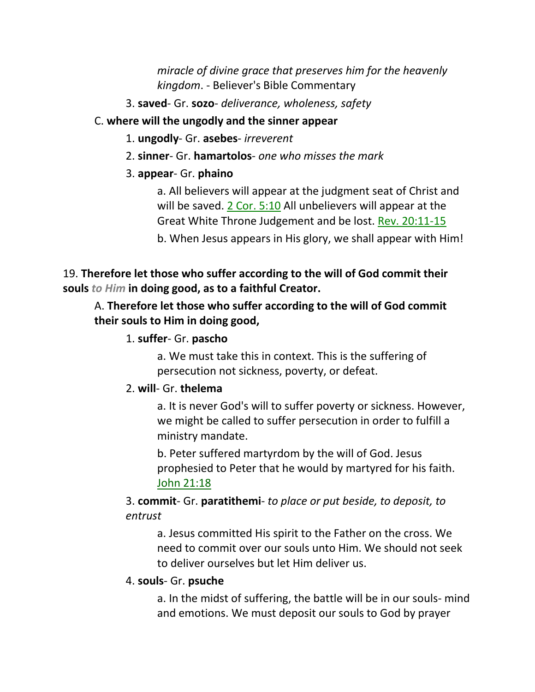*miracle of divine grace that preserves him for the heavenly kingdom*. - Believer's Bible Commentary

3. **saved**- Gr. **sozo**- *deliverance, wholeness, safety*

### C. **where will the ungodly and the sinner appear**

- 1. **ungodly** Gr. **asebes** *irreverent*
- 2. **sinner** Gr. **hamartolos** *one who misses the mark*

## 3. **appear**- Gr. **phaino**

a. All believers will appear at the judgment seat of Christ and will be saved. 2 Cor. 5:10 All unbelievers will appear at the Great White Throne Judgement and be lost. Rev. 20:11-15

b. When Jesus appears in His glory, we shall appear with Him!

## 19. **Therefore let those who suffer according to the will of God commit their souls** *to Him* **in doing good, as to a faithful Creator.**

## A. **Therefore let those who suffer according to the will of God commit their souls to Him in doing good,**

## 1. **suffer**- Gr. **pascho**

a. We must take this in context. This is the suffering of persecution not sickness, poverty, or defeat.

## 2. **will**- Gr. **thelema**

a. It is never God's will to suffer poverty or sickness. However, we might be called to suffer persecution in order to fulfill a ministry mandate.

b. Peter suffered martyrdom by the will of God. Jesus prophesied to Peter that he would by martyred for his faith. John 21:18

3. **commit**- Gr. **paratithemi**- *to place or put beside, to deposit, to entrust*

a. Jesus committed His spirit to the Father on the cross. We need to commit over our souls unto Him. We should not seek to deliver ourselves but let Him deliver us.

## 4. **souls**- Gr. **psuche**

a. In the midst of suffering, the battle will be in our souls- mind and emotions. We must deposit our souls to God by prayer